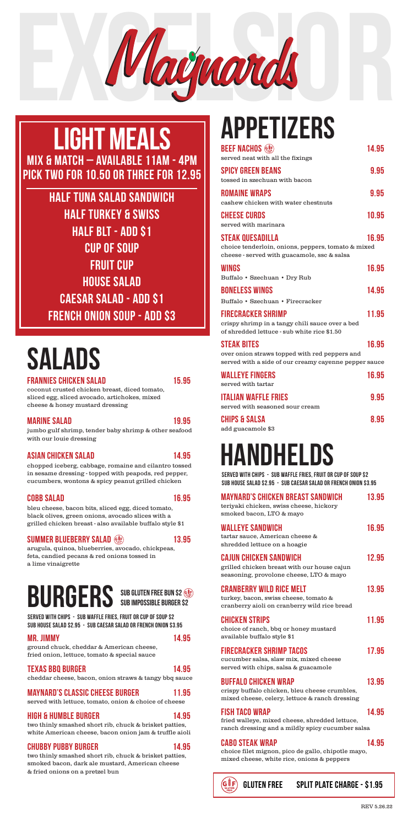

### APPETIZERS

| <b>BEEF NACHOS</b> (<br>served neat with all the fixings                                                                            | 14.95 |
|-------------------------------------------------------------------------------------------------------------------------------------|-------|
| <b>SPICY GREEN BEANS</b><br>tossed in szechuan with bacon                                                                           | 9.95  |
| <b>ROMAINE WRAPS</b><br>cashew chicken with water chestnuts                                                                         | 9.95  |
| <b>CHEESE CURDS</b><br>served with marinara                                                                                         | 10.95 |
| <b>STEAK QUESADILLA</b><br>choice tenderloin, onions, peppers, tomato & mixed<br>cheese - served with guacamole, ssc & salsa        | 16.95 |
| <b>WINGS</b><br>Buffalo · Szechuan · Dry Rub                                                                                        | 16.95 |
| <b>BONELESS WINGS</b><br>Buffalo • Szechuan • Firecracker                                                                           | 14.95 |
| <b>FIRECRACKER SHRIMP</b><br>crispy shrimp in a tangy chili sauce over a bed<br>of shredded lettuce - sub white rice \$1.50         | 11.95 |
| <b><i>STEAK BITES</i></b><br>over onion straws topped with red peppers and<br>served with a side of our creamy cayenne pepper sauce | 16.95 |
| <b><i>WALLEYE FINGERS</i></b><br>served with tartar                                                                                 | 16.95 |
| <b>ITALIAN WAFFLE FRIES</b><br>served with seasoned sour cream                                                                      | 9.95  |
| <b>CHIPS &amp; SALSA</b><br>add guacamole \$3                                                                                       | 8.95  |

### BURGERS

#### MR. JIMMY 14.95

ground chuck, cheddar & American cheese, fried onion, lettuce, tomato & special sauce

#### TEXAS BBQ BURGER 14.95

cheddar cheese, bacon, onion straws & tangy bbq sauce

#### MAYNARD'S CLASSIC CHEESE BURGER 11.95

served with lettuce, tomato, onion & choice of cheese

#### HIGH & HUMBLE BURGER 14.95

HALF TUNA SALAD SANDWICH HALF TURKEY & SWISS HALF BLT - ADD \$1 CUP OF SOUP FRUIT CUP HOUSE SALAD CAESAR SALAD - ADD \$1 FRENCH ONION SOUP - ADD \$3

two thinly smashed short rib, chuck & brisket patties, white American cheese, bacon onion jam & truffle aioli

#### CHUBBY PUBBY BURGER 14.95

two thinly smashed short rib, chuck & brisket patties, smoked bacon, dark ale mustard, American cheese & fried onions on a pretzel bun

SERVED WITH CHIPS - SUB WAFFLE FRIES, FRUIT OR CUP OF SOUP \$2 SUB HOUSE SALAD \$2.95 - SUB CAESAR SALAD OR FRENCH ONION \$3.95

coconut crusted chicken breast, diced tomato, sliced egg, sliced avocado, artichokes, mixed cheese & honey mustard dressing

#### MARINE SALAD 19.95

jumbo gulf shrimp, tender baby shrimp & other seafood with our louie dressing

#### ASIAN CHICKEN SALAD 14.95

chopped iceberg, cabbage, romaine and cilantro tossed in sesame dressing - topped with peapods, red pepper, cucumbers, wontons & spicy peanut grilled chicken

#### COBB SALAD 16.95

bleu cheese, bacon bits, sliced egg, diced tomato, black olives, green onions, avocado slices with a grilled chicken breast - also available buffalo style \$1

#### SUMMER BLUEBERRY SALAD (state of the 13.95

arugula, quinoa, blueberries, avocado, chickpeas, feta, candied pecans & red onions tossed in a lime vinaigrette

# SALADS

FRANNIES CHICKEN SALAD 15.95

### LIGHT MEALS MIX & MATCH – AVAILABLE 11AM - 4PM PICK TWO FOR 10.50 OR THREE FOR 12.95

## HANDHELDS

### MAYNARD'S CHICKEN BREAST SANDWICH 13.95

teriyaki chicken, swiss cheese, hickory smoked bacon, LTO & mayo

| <b>WALLEYE SANDWICH</b> |  |  | 16.95 |
|-------------------------|--|--|-------|
|                         |  |  |       |

tartar sauce, American cheese & shredded lettuce on a hoagie

#### CAJUN CHICKEN SANDWICH 12.95

grilled chicken breast with our house cajun seasoning, provolone cheese, LTO & mayo

CRANBERRY WILD RICE MELT 13.95

turkey, bacon, swiss cheese, tomato & cranberry aioli on cranberry wild rice bread

#### CHICKEN STRIPS 11.95

choice of ranch, bbq or honey mustard available buffalo style \$1

#### FIRECRACKER SHRIMP TACOS 17.95

cucumber salsa, slaw mix, mixed cheese served with chips, salsa & guacamole

#### BUFFALO CHICKEN WRAP 13.95

crispy buffalo chicken, bleu cheese crumbles, mixed cheese, celery, lettuce & ranch dressing

#### FISH TACO WRAP 14.95

fried walleye, mixed cheese, shredded lettuce, ranch dressing and a mildly spicy cucumber salsa

#### CABO STEAK WRAP 14.95

choice filet mignon, pico de gallo, chipotle mayo, mixed cheese, white rice, onions & peppers

sub Gluten Free Bun \$2 Sub Impossible Burger \$2 SERVED WITH CHIPS - SUB WAFFLE FRIES, FRUIT OR CUP OF SOUP \$2 SUB HOUSE SALAD \$2.95 - SUB CAESAR SALAD OR FRENCH ONION \$3.95